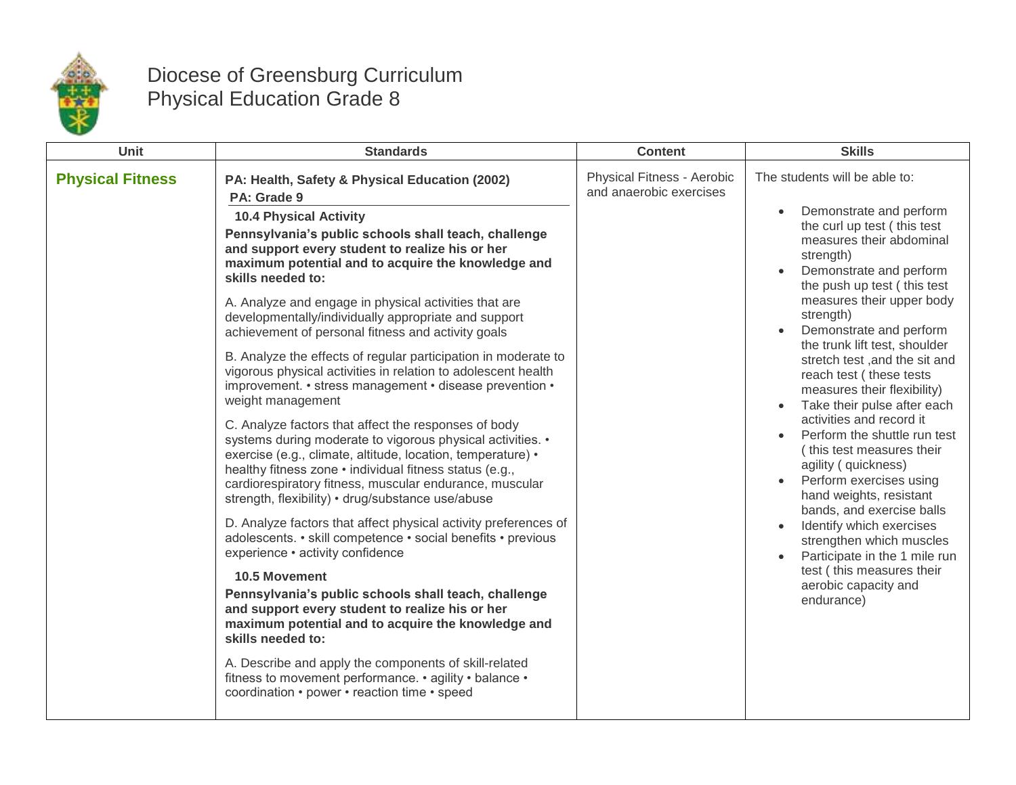

## Diocese of Greensburg Curriculum Physical Education Grade 8

| Unit                    | <b>Standards</b>                                                                                                                                                                                                                                                                                                                                                                                                                                                                                                                                                                                                                                                                                                                                                                                                                                                                                                                                                                                                                                                                                                                                                                                                                                                                                                                                                                                                                                                                                                                                                                                       | <b>Content</b>                                        | <b>Skills</b>                                                                                                                                                                                                                                                                                                                                                                                                                                                                                                                                                                                                                                                                                                                                                                                           |
|-------------------------|--------------------------------------------------------------------------------------------------------------------------------------------------------------------------------------------------------------------------------------------------------------------------------------------------------------------------------------------------------------------------------------------------------------------------------------------------------------------------------------------------------------------------------------------------------------------------------------------------------------------------------------------------------------------------------------------------------------------------------------------------------------------------------------------------------------------------------------------------------------------------------------------------------------------------------------------------------------------------------------------------------------------------------------------------------------------------------------------------------------------------------------------------------------------------------------------------------------------------------------------------------------------------------------------------------------------------------------------------------------------------------------------------------------------------------------------------------------------------------------------------------------------------------------------------------------------------------------------------------|-------------------------------------------------------|---------------------------------------------------------------------------------------------------------------------------------------------------------------------------------------------------------------------------------------------------------------------------------------------------------------------------------------------------------------------------------------------------------------------------------------------------------------------------------------------------------------------------------------------------------------------------------------------------------------------------------------------------------------------------------------------------------------------------------------------------------------------------------------------------------|
| <b>Physical Fitness</b> | PA: Health, Safety & Physical Education (2002)<br>PA: Grade 9<br><b>10.4 Physical Activity</b><br>Pennsylvania's public schools shall teach, challenge<br>and support every student to realize his or her<br>maximum potential and to acquire the knowledge and<br>skills needed to:<br>A. Analyze and engage in physical activities that are<br>developmentally/individually appropriate and support<br>achievement of personal fitness and activity goals<br>B. Analyze the effects of regular participation in moderate to<br>vigorous physical activities in relation to adolescent health<br>improvement. • stress management • disease prevention •<br>weight management<br>C. Analyze factors that affect the responses of body<br>systems during moderate to vigorous physical activities. •<br>exercise (e.g., climate, altitude, location, temperature) •<br>healthy fitness zone • individual fitness status (e.g.,<br>cardiorespiratory fitness, muscular endurance, muscular<br>strength, flexibility) • drug/substance use/abuse<br>D. Analyze factors that affect physical activity preferences of<br>adolescents. • skill competence • social benefits • previous<br>experience • activity confidence<br><b>10.5 Movement</b><br>Pennsylvania's public schools shall teach, challenge<br>and support every student to realize his or her<br>maximum potential and to acquire the knowledge and<br>skills needed to:<br>A. Describe and apply the components of skill-related<br>fitness to movement performance. • agility • balance •<br>coordination • power • reaction time • speed | Physical Fitness - Aerobic<br>and anaerobic exercises | The students will be able to:<br>Demonstrate and perform<br>the curl up test (this test<br>measures their abdominal<br>strength)<br>Demonstrate and perform<br>$\bullet$<br>the push up test (this test<br>measures their upper body<br>strength)<br>Demonstrate and perform<br>the trunk lift test, shoulder<br>stretch test, and the sit and<br>reach test (these tests<br>measures their flexibility)<br>Take their pulse after each<br>activities and record it<br>Perform the shuttle run test<br>(this test measures their<br>agility ( quickness)<br>Perform exercises using<br>hand weights, resistant<br>bands, and exercise balls<br>Identify which exercises<br>strengthen which muscles<br>Participate in the 1 mile run<br>test (this measures their<br>aerobic capacity and<br>endurance) |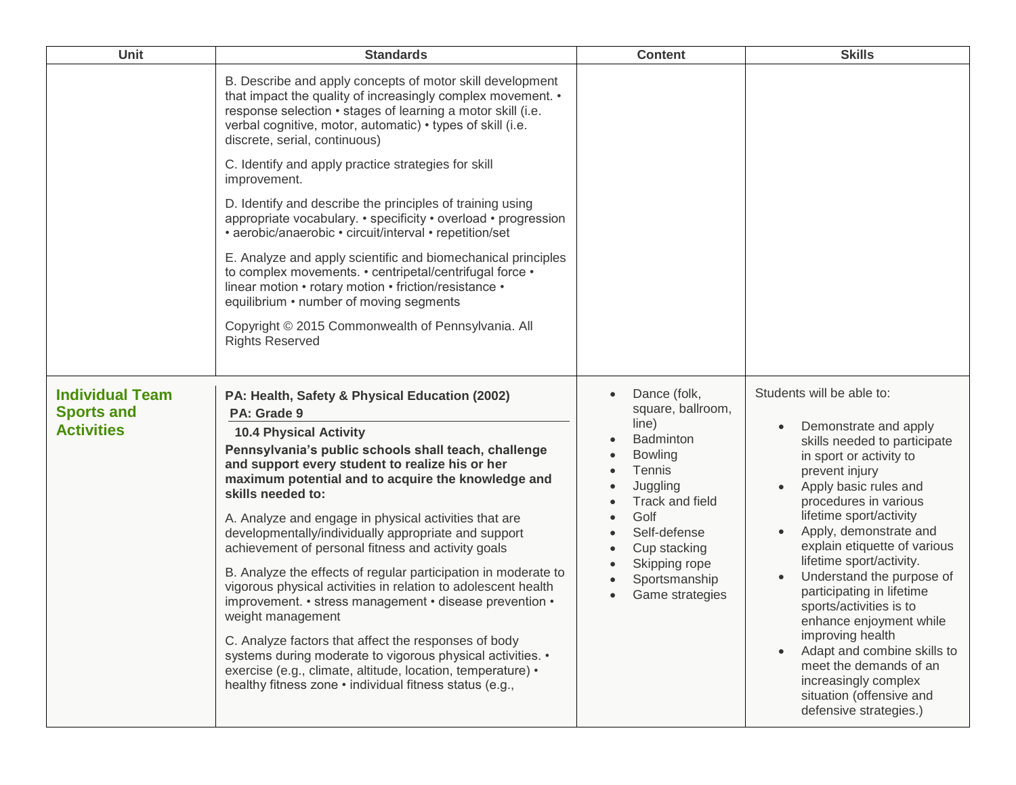| <b>Unit</b>                                                      | <b>Standards</b>                                                                                                                                                                                                                                                                                                                                          | <b>Content</b>                                                                                                             | <b>Skills</b>                                                                                                                                           |                                                                                                                                                                                                                  |
|------------------------------------------------------------------|-----------------------------------------------------------------------------------------------------------------------------------------------------------------------------------------------------------------------------------------------------------------------------------------------------------------------------------------------------------|----------------------------------------------------------------------------------------------------------------------------|---------------------------------------------------------------------------------------------------------------------------------------------------------|------------------------------------------------------------------------------------------------------------------------------------------------------------------------------------------------------------------|
|                                                                  | B. Describe and apply concepts of motor skill development<br>that impact the quality of increasingly complex movement. •<br>response selection · stages of learning a motor skill (i.e.<br>verbal cognitive, motor, automatic) • types of skill (i.e.<br>discrete, serial, continuous)                                                                    |                                                                                                                            |                                                                                                                                                         |                                                                                                                                                                                                                  |
|                                                                  | C. Identify and apply practice strategies for skill<br>improvement.                                                                                                                                                                                                                                                                                       |                                                                                                                            |                                                                                                                                                         |                                                                                                                                                                                                                  |
|                                                                  | D. Identify and describe the principles of training using<br>appropriate vocabulary. • specificity • overload • progression<br>• aerobic/anaerobic • circuit/interval • repetition/set                                                                                                                                                                    |                                                                                                                            |                                                                                                                                                         |                                                                                                                                                                                                                  |
|                                                                  | E. Analyze and apply scientific and biomechanical principles<br>to complex movements. • centripetal/centrifugal force •<br>linear motion • rotary motion • friction/resistance •<br>equilibrium • number of moving segments                                                                                                                               |                                                                                                                            |                                                                                                                                                         |                                                                                                                                                                                                                  |
|                                                                  | Copyright © 2015 Commonwealth of Pennsylvania. All<br><b>Rights Reserved</b>                                                                                                                                                                                                                                                                              |                                                                                                                            |                                                                                                                                                         |                                                                                                                                                                                                                  |
| <b>Individual Team</b><br><b>Sports and</b><br><b>Activities</b> | PA: Health, Safety & Physical Education (2002)<br>PA: Grade 9<br><b>10.4 Physical Activity</b>                                                                                                                                                                                                                                                            | Dance (folk,<br>square, ballroom,<br>line)                                                                                 | Students will be able to:<br>Demonstrate and apply<br>$\bullet$                                                                                         |                                                                                                                                                                                                                  |
|                                                                  | Pennsylvania's public schools shall teach, challenge<br>and support every student to realize his or her<br>maximum potential and to acquire the knowledge and<br>skills needed to:<br>A. Analyze and engage in physical activities that are<br>developmentally/individually appropriate and support<br>achievement of personal fitness and activity goals | <b>Badminton</b><br><b>Bowling</b><br><b>Tennis</b><br>Juggling<br>Track and field<br>Golf<br>Self-defense<br>Cup stacking |                                                                                                                                                         | skills needed to participate<br>in sport or activity to<br>prevent injury<br>Apply basic rules and<br>procedures in various<br>lifetime sport/activity<br>Apply, demonstrate and<br>explain etiquette of various |
|                                                                  | B. Analyze the effects of regular participation in moderate to<br>vigorous physical activities in relation to adolescent health<br>improvement. • stress management • disease prevention •<br>weight management                                                                                                                                           | Skipping rope<br>Sportsmanship<br>Game strategies                                                                          | lifetime sport/activity.<br>Understand the purpose of<br>participating in lifetime<br>sports/activities is to<br>enhance enjoyment while                |                                                                                                                                                                                                                  |
|                                                                  | C. Analyze factors that affect the responses of body<br>systems during moderate to vigorous physical activities. •<br>exercise (e.g., climate, altitude, location, temperature) •<br>healthy fitness zone • individual fitness status (e.g.,                                                                                                              |                                                                                                                            | improving health<br>Adapt and combine skills to<br>meet the demands of an<br>increasingly complex<br>situation (offensive and<br>defensive strategies.) |                                                                                                                                                                                                                  |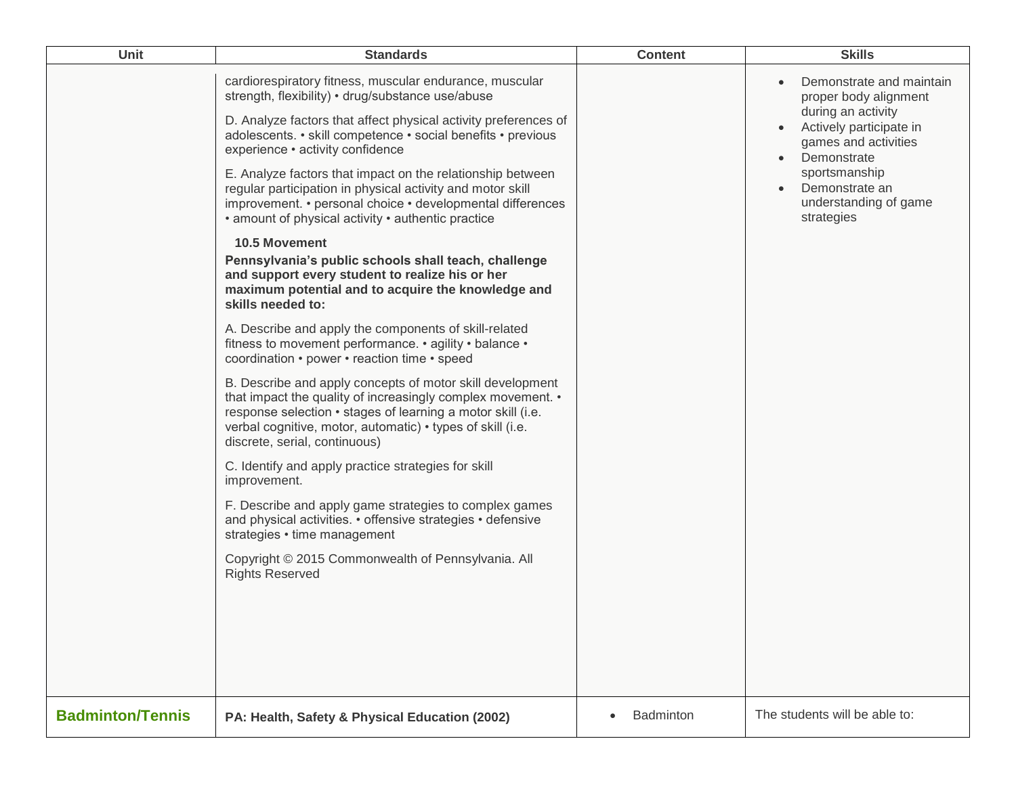| Unit                    | <b>Standards</b>                                                                                                                                                                                                                                                                                                                                                                                                                                                                                                                                                                                                                                                                                                                                                                                                                                                                                                                                                                                                                                                                                                                                                                                                                                                                                                                                                                                                                                                                                                               | <b>Content</b> | <b>Skills</b>                                                                                                                                                                                                                    |
|-------------------------|--------------------------------------------------------------------------------------------------------------------------------------------------------------------------------------------------------------------------------------------------------------------------------------------------------------------------------------------------------------------------------------------------------------------------------------------------------------------------------------------------------------------------------------------------------------------------------------------------------------------------------------------------------------------------------------------------------------------------------------------------------------------------------------------------------------------------------------------------------------------------------------------------------------------------------------------------------------------------------------------------------------------------------------------------------------------------------------------------------------------------------------------------------------------------------------------------------------------------------------------------------------------------------------------------------------------------------------------------------------------------------------------------------------------------------------------------------------------------------------------------------------------------------|----------------|----------------------------------------------------------------------------------------------------------------------------------------------------------------------------------------------------------------------------------|
|                         | cardiorespiratory fitness, muscular endurance, muscular<br>strength, flexibility) • drug/substance use/abuse<br>D. Analyze factors that affect physical activity preferences of<br>adolescents. • skill competence • social benefits • previous<br>experience • activity confidence<br>E. Analyze factors that impact on the relationship between<br>regular participation in physical activity and motor skill<br>improvement. • personal choice • developmental differences<br>• amount of physical activity • authentic practice<br><b>10.5 Movement</b><br>Pennsylvania's public schools shall teach, challenge<br>and support every student to realize his or her<br>maximum potential and to acquire the knowledge and<br>skills needed to:<br>A. Describe and apply the components of skill-related<br>fitness to movement performance. • agility • balance •<br>coordination • power • reaction time • speed<br>B. Describe and apply concepts of motor skill development<br>that impact the quality of increasingly complex movement. •<br>response selection · stages of learning a motor skill (i.e.<br>verbal cognitive, motor, automatic) • types of skill (i.e.<br>discrete, serial, continuous)<br>C. Identify and apply practice strategies for skill<br>improvement.<br>F. Describe and apply game strategies to complex games<br>and physical activities. • offensive strategies • defensive<br>strategies • time management<br>Copyright © 2015 Commonwealth of Pennsylvania. All<br><b>Rights Reserved</b> |                | Demonstrate and maintain<br>proper body alignment<br>during an activity<br>Actively participate in<br>games and activities<br>Demonstrate<br>$\bullet$<br>sportsmanship<br>Demonstrate an<br>understanding of game<br>strategies |
| <b>Badminton/Tennis</b> | PA: Health, Safety & Physical Education (2002)                                                                                                                                                                                                                                                                                                                                                                                                                                                                                                                                                                                                                                                                                                                                                                                                                                                                                                                                                                                                                                                                                                                                                                                                                                                                                                                                                                                                                                                                                 | Badminton      | The students will be able to:                                                                                                                                                                                                    |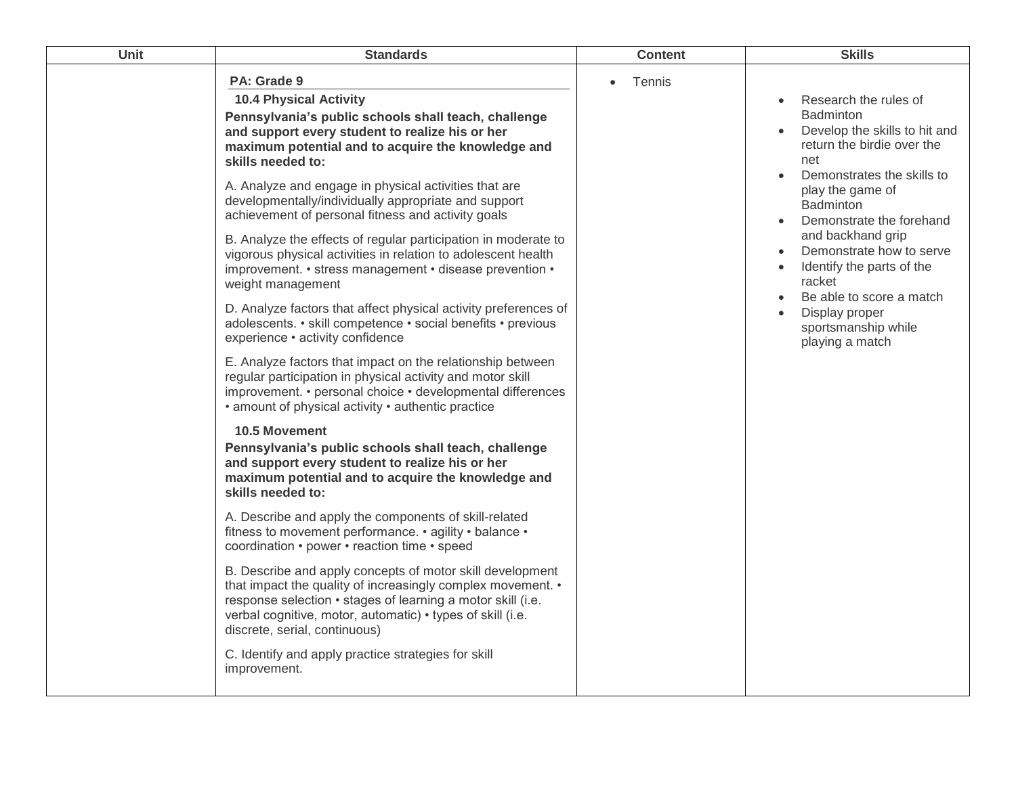| Unit | <b>Standards</b>                                                                                                                                                                                                                                                                                                                                                                                                                                                                                                                                                                                                                                                                                                                                                                                                                                                                                                                                                                                                                                                                                                                                                                                                                                                                                                                                                                                                                                                                                                                                                                                                                                                                                                        | <b>Content</b>      | <b>Skills</b>                                                                                                                                                                                                                                                                                                                                                                                                                                               |
|------|-------------------------------------------------------------------------------------------------------------------------------------------------------------------------------------------------------------------------------------------------------------------------------------------------------------------------------------------------------------------------------------------------------------------------------------------------------------------------------------------------------------------------------------------------------------------------------------------------------------------------------------------------------------------------------------------------------------------------------------------------------------------------------------------------------------------------------------------------------------------------------------------------------------------------------------------------------------------------------------------------------------------------------------------------------------------------------------------------------------------------------------------------------------------------------------------------------------------------------------------------------------------------------------------------------------------------------------------------------------------------------------------------------------------------------------------------------------------------------------------------------------------------------------------------------------------------------------------------------------------------------------------------------------------------------------------------------------------------|---------------------|-------------------------------------------------------------------------------------------------------------------------------------------------------------------------------------------------------------------------------------------------------------------------------------------------------------------------------------------------------------------------------------------------------------------------------------------------------------|
|      | PA: Grade 9<br><b>10.4 Physical Activity</b><br>Pennsylvania's public schools shall teach, challenge<br>and support every student to realize his or her<br>maximum potential and to acquire the knowledge and<br>skills needed to:<br>A. Analyze and engage in physical activities that are<br>developmentally/individually appropriate and support<br>achievement of personal fitness and activity goals<br>B. Analyze the effects of regular participation in moderate to<br>vigorous physical activities in relation to adolescent health<br>improvement. • stress management • disease prevention •<br>weight management<br>D. Analyze factors that affect physical activity preferences of<br>adolescents. • skill competence • social benefits • previous<br>experience · activity confidence<br>E. Analyze factors that impact on the relationship between<br>regular participation in physical activity and motor skill<br>improvement. • personal choice • developmental differences<br>• amount of physical activity • authentic practice<br>10.5 Movement<br>Pennsylvania's public schools shall teach, challenge<br>and support every student to realize his or her<br>maximum potential and to acquire the knowledge and<br>skills needed to:<br>A. Describe and apply the components of skill-related<br>fitness to movement performance. • agility • balance •<br>coordination • power • reaction time • speed<br>B. Describe and apply concepts of motor skill development<br>that impact the quality of increasingly complex movement. •<br>response selection • stages of learning a motor skill (i.e.<br>verbal cognitive, motor, automatic) • types of skill (i.e.<br>discrete, serial, continuous) | Tennis<br>$\bullet$ | Research the rules of<br>$\bullet$<br><b>Badminton</b><br>Develop the skills to hit and<br>return the birdie over the<br>net<br>Demonstrates the skills to<br>$\bullet$<br>play the game of<br>Badminton<br>Demonstrate the forehand<br>$\bullet$<br>and backhand grip<br>Demonstrate how to serve<br>Identify the parts of the<br>$\bullet$<br>racket<br>Be able to score a match<br>$\bullet$<br>Display proper<br>sportsmanship while<br>playing a match |
|      | C. Identify and apply practice strategies for skill<br>improvement.                                                                                                                                                                                                                                                                                                                                                                                                                                                                                                                                                                                                                                                                                                                                                                                                                                                                                                                                                                                                                                                                                                                                                                                                                                                                                                                                                                                                                                                                                                                                                                                                                                                     |                     |                                                                                                                                                                                                                                                                                                                                                                                                                                                             |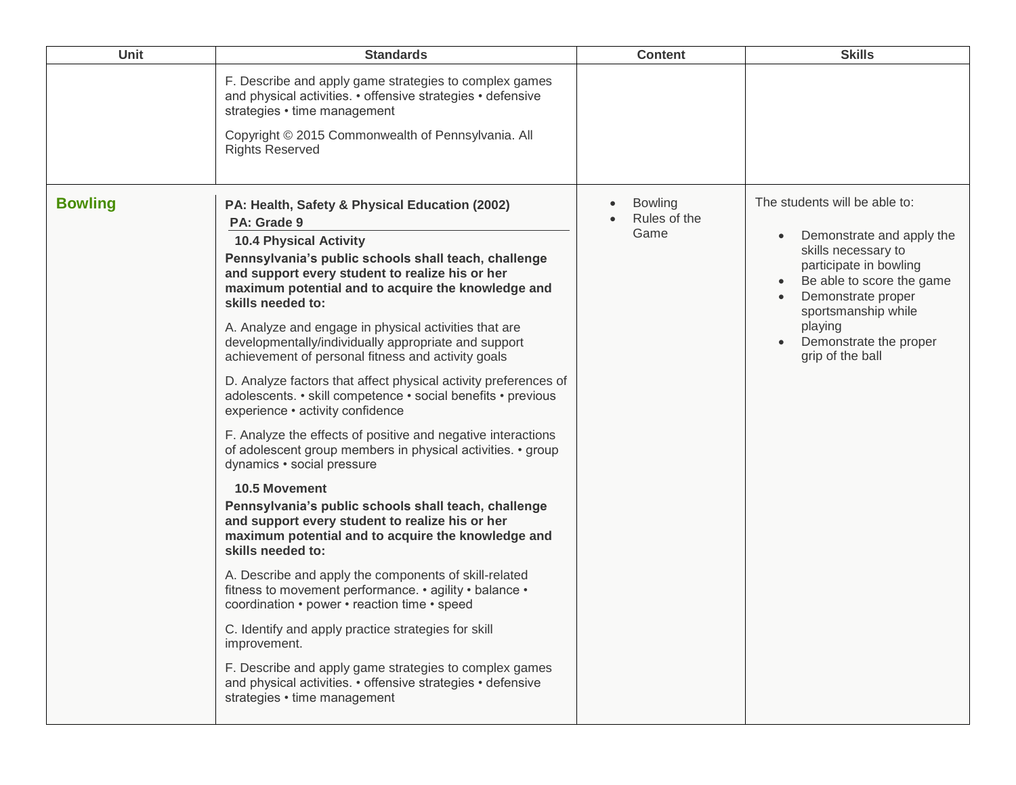| <b>Unit</b>    | <b>Standards</b>                                                                                                                                                                                                                                                                                                                                                                                                                                                                                                                                                                                                                                                                                                                                                                                                                                                                                                                                                                                                                                                                                                                                                                                                                                                                                                                                                                                                 | <b>Content</b>                         | <b>Skills</b>                                                                                                                                                                                                                                  |
|----------------|------------------------------------------------------------------------------------------------------------------------------------------------------------------------------------------------------------------------------------------------------------------------------------------------------------------------------------------------------------------------------------------------------------------------------------------------------------------------------------------------------------------------------------------------------------------------------------------------------------------------------------------------------------------------------------------------------------------------------------------------------------------------------------------------------------------------------------------------------------------------------------------------------------------------------------------------------------------------------------------------------------------------------------------------------------------------------------------------------------------------------------------------------------------------------------------------------------------------------------------------------------------------------------------------------------------------------------------------------------------------------------------------------------------|----------------------------------------|------------------------------------------------------------------------------------------------------------------------------------------------------------------------------------------------------------------------------------------------|
|                | F. Describe and apply game strategies to complex games<br>and physical activities. • offensive strategies • defensive<br>strategies • time management<br>Copyright © 2015 Commonwealth of Pennsylvania. All<br><b>Rights Reserved</b>                                                                                                                                                                                                                                                                                                                                                                                                                                                                                                                                                                                                                                                                                                                                                                                                                                                                                                                                                                                                                                                                                                                                                                            |                                        |                                                                                                                                                                                                                                                |
| <b>Bowling</b> | PA: Health, Safety & Physical Education (2002)<br>PA: Grade 9<br><b>10.4 Physical Activity</b><br>Pennsylvania's public schools shall teach, challenge<br>and support every student to realize his or her<br>maximum potential and to acquire the knowledge and<br>skills needed to:<br>A. Analyze and engage in physical activities that are<br>developmentally/individually appropriate and support<br>achievement of personal fitness and activity goals<br>D. Analyze factors that affect physical activity preferences of<br>adolescents. • skill competence • social benefits • previous<br>experience · activity confidence<br>F. Analyze the effects of positive and negative interactions<br>of adolescent group members in physical activities. • group<br>dynamics • social pressure<br><b>10.5 Movement</b><br>Pennsylvania's public schools shall teach, challenge<br>and support every student to realize his or her<br>maximum potential and to acquire the knowledge and<br>skills needed to:<br>A. Describe and apply the components of skill-related<br>fitness to movement performance. • agility • balance •<br>coordination • power • reaction time • speed<br>C. Identify and apply practice strategies for skill<br>improvement.<br>F. Describe and apply game strategies to complex games<br>and physical activities. • offensive strategies • defensive<br>strategies • time management | <b>Bowling</b><br>Rules of the<br>Game | The students will be able to:<br>Demonstrate and apply the<br>skills necessary to<br>participate in bowling<br>Be able to score the game<br>Demonstrate proper<br>sportsmanship while<br>playing<br>Demonstrate the proper<br>grip of the ball |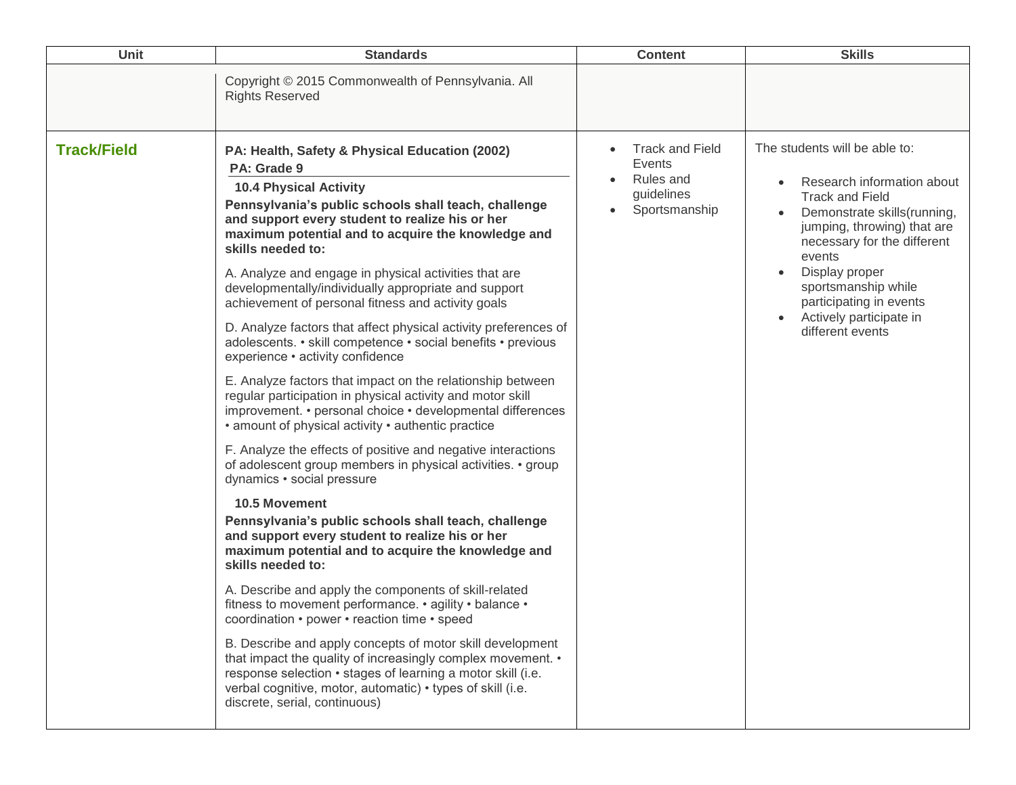| Unit               | <b>Standards</b>                                                                                                                                                                                                                                                                                                                                                                                                                                                                                                                                                                                                                                                                                                                                                                                                                                                                                                                                                                                                                                                                                                                                                                                                                                                                                                                                                                                                                                                                                                                                                                                                                                                                                                    | <b>Content</b>                                                               | <b>Skills</b>                                                                                                                                                                                                                                                                                                   |
|--------------------|---------------------------------------------------------------------------------------------------------------------------------------------------------------------------------------------------------------------------------------------------------------------------------------------------------------------------------------------------------------------------------------------------------------------------------------------------------------------------------------------------------------------------------------------------------------------------------------------------------------------------------------------------------------------------------------------------------------------------------------------------------------------------------------------------------------------------------------------------------------------------------------------------------------------------------------------------------------------------------------------------------------------------------------------------------------------------------------------------------------------------------------------------------------------------------------------------------------------------------------------------------------------------------------------------------------------------------------------------------------------------------------------------------------------------------------------------------------------------------------------------------------------------------------------------------------------------------------------------------------------------------------------------------------------------------------------------------------------|------------------------------------------------------------------------------|-----------------------------------------------------------------------------------------------------------------------------------------------------------------------------------------------------------------------------------------------------------------------------------------------------------------|
|                    | Copyright © 2015 Commonwealth of Pennsylvania. All<br><b>Rights Reserved</b>                                                                                                                                                                                                                                                                                                                                                                                                                                                                                                                                                                                                                                                                                                                                                                                                                                                                                                                                                                                                                                                                                                                                                                                                                                                                                                                                                                                                                                                                                                                                                                                                                                        |                                                                              |                                                                                                                                                                                                                                                                                                                 |
| <b>Track/Field</b> | PA: Health, Safety & Physical Education (2002)<br>PA: Grade 9<br><b>10.4 Physical Activity</b><br>Pennsylvania's public schools shall teach, challenge<br>and support every student to realize his or her<br>maximum potential and to acquire the knowledge and<br>skills needed to:<br>A. Analyze and engage in physical activities that are<br>developmentally/individually appropriate and support<br>achievement of personal fitness and activity goals<br>D. Analyze factors that affect physical activity preferences of<br>adolescents. • skill competence • social benefits • previous<br>experience · activity confidence<br>E. Analyze factors that impact on the relationship between<br>regular participation in physical activity and motor skill<br>improvement. • personal choice • developmental differences<br>• amount of physical activity • authentic practice<br>F. Analyze the effects of positive and negative interactions<br>of adolescent group members in physical activities. • group<br>dynamics • social pressure<br>10.5 Movement<br>Pennsylvania's public schools shall teach, challenge<br>and support every student to realize his or her<br>maximum potential and to acquire the knowledge and<br>skills needed to:<br>A. Describe and apply the components of skill-related<br>fitness to movement performance. • agility • balance •<br>coordination • power • reaction time • speed<br>B. Describe and apply concepts of motor skill development<br>that impact the quality of increasingly complex movement. •<br>response selection • stages of learning a motor skill (i.e.<br>verbal cognitive, motor, automatic) • types of skill (i.e.<br>discrete, serial, continuous) | <b>Track and Field</b><br>Events<br>Rules and<br>guidelines<br>Sportsmanship | The students will be able to:<br>Research information about<br><b>Track and Field</b><br>Demonstrate skills(running,<br>jumping, throwing) that are<br>necessary for the different<br>events<br>Display proper<br>sportsmanship while<br>participating in events<br>Actively participate in<br>different events |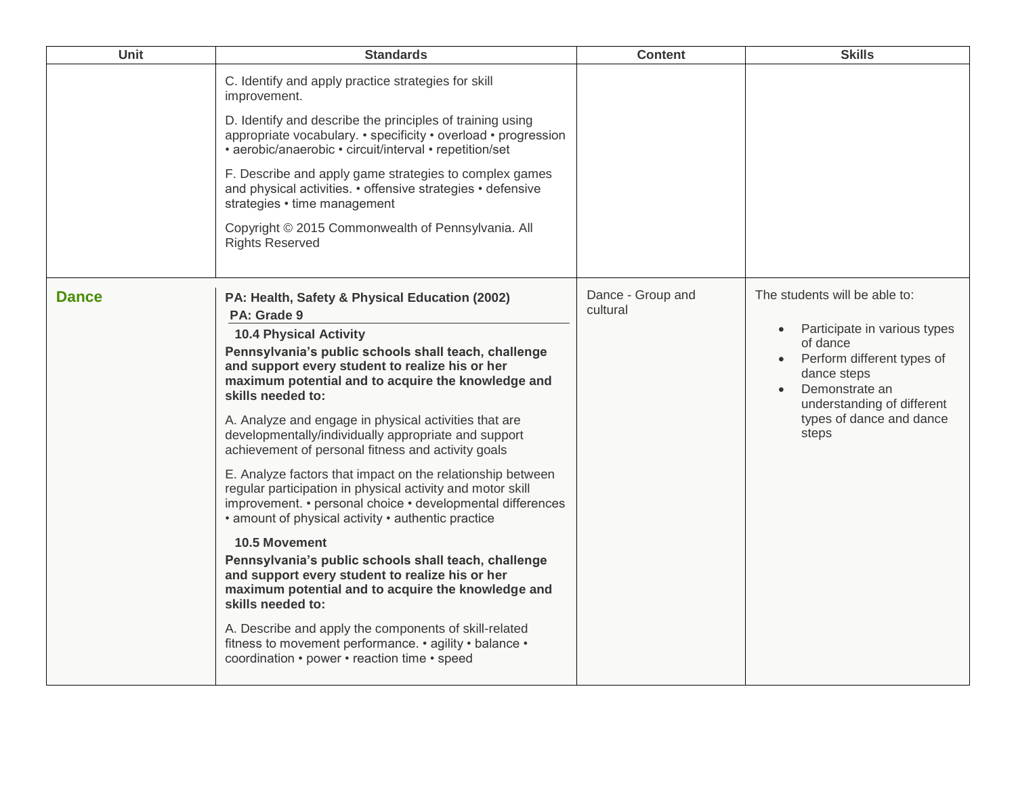| <b>Unit</b>  | <b>Standards</b>                                                                                                                                                                                                                                                                                                                                                                                                                                                                                                                                                                                                                                                                                                                                                                                                                                                                                                                                                                                                                                                                             | <b>Content</b>                | <b>Skills</b>                                                                                                                                                                                                                         |
|--------------|----------------------------------------------------------------------------------------------------------------------------------------------------------------------------------------------------------------------------------------------------------------------------------------------------------------------------------------------------------------------------------------------------------------------------------------------------------------------------------------------------------------------------------------------------------------------------------------------------------------------------------------------------------------------------------------------------------------------------------------------------------------------------------------------------------------------------------------------------------------------------------------------------------------------------------------------------------------------------------------------------------------------------------------------------------------------------------------------|-------------------------------|---------------------------------------------------------------------------------------------------------------------------------------------------------------------------------------------------------------------------------------|
|              | C. Identify and apply practice strategies for skill<br>improvement.<br>D. Identify and describe the principles of training using<br>appropriate vocabulary. • specificity • overload • progression<br>• aerobic/anaerobic • circuit/interval • repetition/set<br>F. Describe and apply game strategies to complex games<br>and physical activities. • offensive strategies • defensive<br>strategies • time management<br>Copyright © 2015 Commonwealth of Pennsylvania. All<br><b>Rights Reserved</b>                                                                                                                                                                                                                                                                                                                                                                                                                                                                                                                                                                                       |                               |                                                                                                                                                                                                                                       |
| <b>Dance</b> | PA: Health, Safety & Physical Education (2002)<br>PA: Grade 9<br><b>10.4 Physical Activity</b><br>Pennsylvania's public schools shall teach, challenge<br>and support every student to realize his or her<br>maximum potential and to acquire the knowledge and<br>skills needed to:<br>A. Analyze and engage in physical activities that are<br>developmentally/individually appropriate and support<br>achievement of personal fitness and activity goals<br>E. Analyze factors that impact on the relationship between<br>regular participation in physical activity and motor skill<br>improvement. • personal choice • developmental differences<br>• amount of physical activity • authentic practice<br><b>10.5 Movement</b><br>Pennsylvania's public schools shall teach, challenge<br>and support every student to realize his or her<br>maximum potential and to acquire the knowledge and<br>skills needed to:<br>A. Describe and apply the components of skill-related<br>fitness to movement performance. • agility • balance •<br>coordination • power • reaction time • speed | Dance - Group and<br>cultural | The students will be able to:<br>Participate in various types<br>$\bullet$<br>of dance<br>Perform different types of<br>dance steps<br>Demonstrate an<br>$\bullet$<br>understanding of different<br>types of dance and dance<br>steps |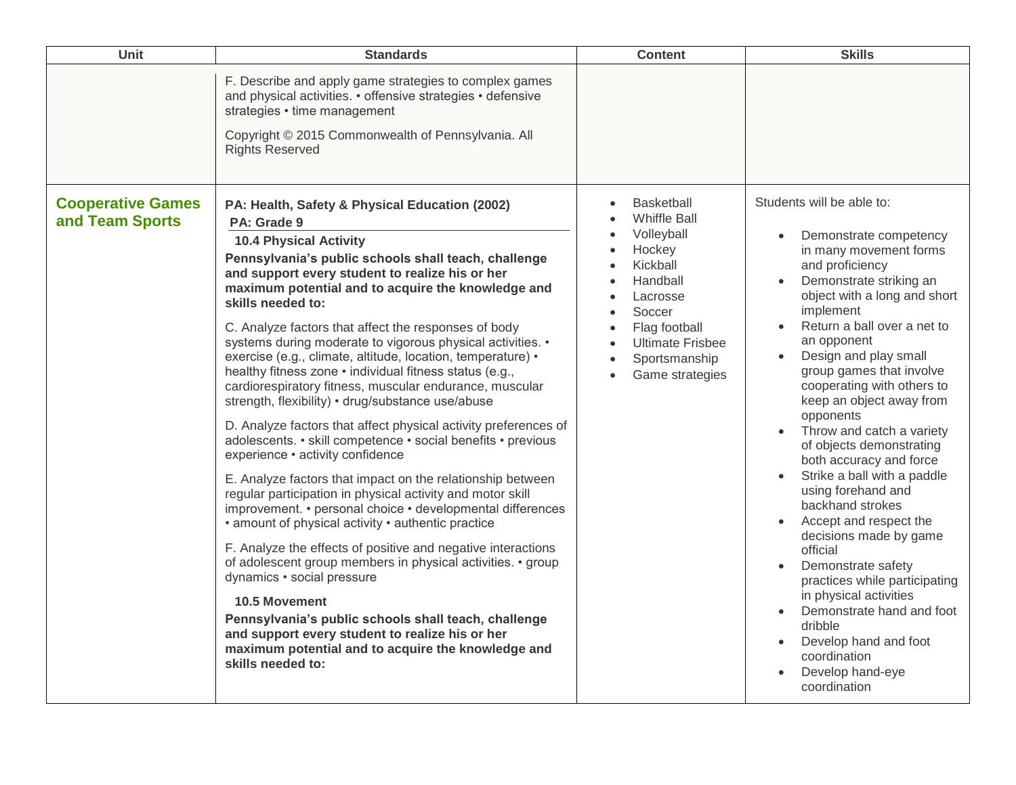| Unit                                        | <b>Standards</b>                                                                                                                                                                                                                                                                                                                                                                                                                                                                                                                                                                                                                                                                                                                                                                                                                                                                                                                                                                                                                                                                                                                                                                                                                                                                                                                                                                                                                                       | <b>Content</b>                                                                                                                                                                          | <b>Skills</b>                                                                                                                                                                                                                                                                                                                                                                                                                                                                                                                                                                                                                                                                                                                                                                                                   |
|---------------------------------------------|--------------------------------------------------------------------------------------------------------------------------------------------------------------------------------------------------------------------------------------------------------------------------------------------------------------------------------------------------------------------------------------------------------------------------------------------------------------------------------------------------------------------------------------------------------------------------------------------------------------------------------------------------------------------------------------------------------------------------------------------------------------------------------------------------------------------------------------------------------------------------------------------------------------------------------------------------------------------------------------------------------------------------------------------------------------------------------------------------------------------------------------------------------------------------------------------------------------------------------------------------------------------------------------------------------------------------------------------------------------------------------------------------------------------------------------------------------|-----------------------------------------------------------------------------------------------------------------------------------------------------------------------------------------|-----------------------------------------------------------------------------------------------------------------------------------------------------------------------------------------------------------------------------------------------------------------------------------------------------------------------------------------------------------------------------------------------------------------------------------------------------------------------------------------------------------------------------------------------------------------------------------------------------------------------------------------------------------------------------------------------------------------------------------------------------------------------------------------------------------------|
|                                             | F. Describe and apply game strategies to complex games<br>and physical activities. • offensive strategies • defensive<br>strategies • time management<br>Copyright © 2015 Commonwealth of Pennsylvania. All<br><b>Rights Reserved</b>                                                                                                                                                                                                                                                                                                                                                                                                                                                                                                                                                                                                                                                                                                                                                                                                                                                                                                                                                                                                                                                                                                                                                                                                                  |                                                                                                                                                                                         |                                                                                                                                                                                                                                                                                                                                                                                                                                                                                                                                                                                                                                                                                                                                                                                                                 |
| <b>Cooperative Games</b><br>and Team Sports | PA: Health, Safety & Physical Education (2002)<br>PA: Grade 9<br><b>10.4 Physical Activity</b><br>Pennsylvania's public schools shall teach, challenge<br>and support every student to realize his or her<br>maximum potential and to acquire the knowledge and<br>skills needed to:<br>C. Analyze factors that affect the responses of body<br>systems during moderate to vigorous physical activities. •<br>exercise (e.g., climate, altitude, location, temperature) •<br>healthy fitness zone • individual fitness status (e.g.,<br>cardiorespiratory fitness, muscular endurance, muscular<br>strength, flexibility) • drug/substance use/abuse<br>D. Analyze factors that affect physical activity preferences of<br>adolescents. • skill competence • social benefits • previous<br>experience · activity confidence<br>E. Analyze factors that impact on the relationship between<br>regular participation in physical activity and motor skill<br>improvement. • personal choice • developmental differences<br>• amount of physical activity • authentic practice<br>F. Analyze the effects of positive and negative interactions<br>of adolescent group members in physical activities. • group<br>dynamics • social pressure<br><b>10.5 Movement</b><br>Pennsylvania's public schools shall teach, challenge<br>and support every student to realize his or her<br>maximum potential and to acquire the knowledge and<br>skills needed to: | Basketball<br><b>Whiffle Ball</b><br>Volleyball<br>Hockey<br>Kickball<br>Handball<br>Lacrosse<br>Soccer<br>Flag football<br><b>Ultimate Frisbee</b><br>Sportsmanship<br>Game strategies | Students will be able to:<br>Demonstrate competency<br>in many movement forms<br>and proficiency<br>Demonstrate striking an<br>object with a long and short<br>implement<br>Return a ball over a net to<br>an opponent<br>Design and play small<br>group games that involve<br>cooperating with others to<br>keep an object away from<br>opponents<br>Throw and catch a variety<br>of objects demonstrating<br>both accuracy and force<br>Strike a ball with a paddle<br>using forehand and<br>backhand strokes<br>Accept and respect the<br>decisions made by game<br>official<br>Demonstrate safety<br>$\bullet$<br>practices while participating<br>in physical activities<br>Demonstrate hand and foot<br>$\bullet$<br>dribble<br>Develop hand and foot<br>coordination<br>Develop hand-eye<br>coordination |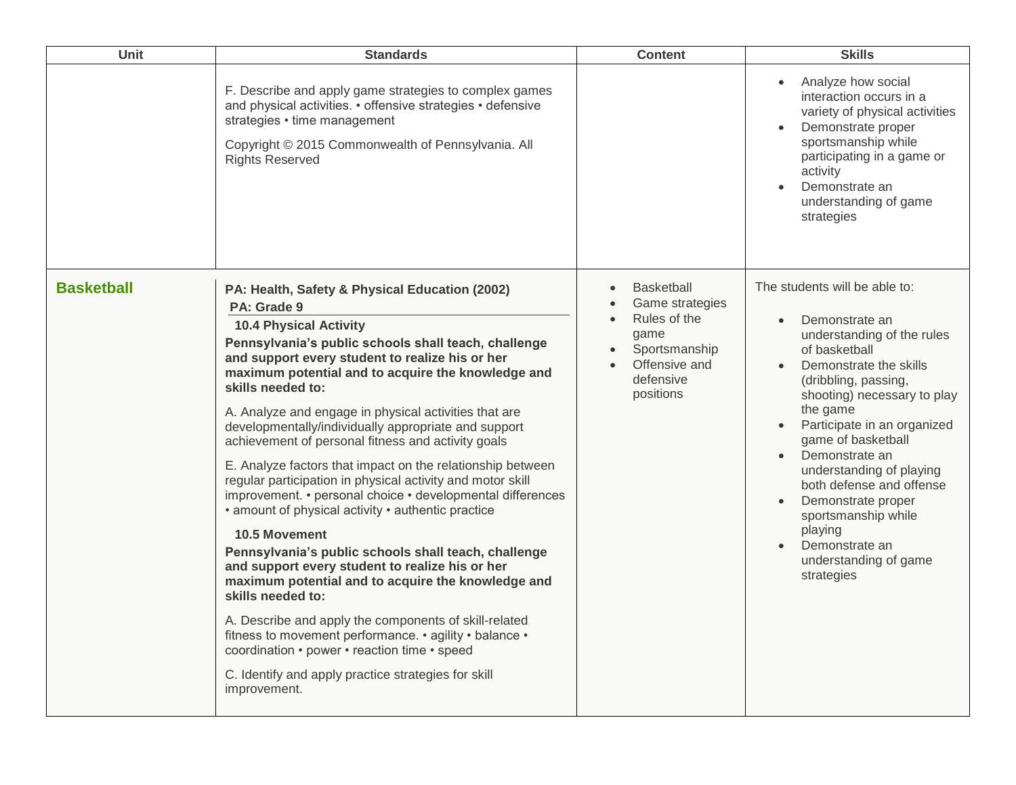| Unit              | <b>Standards</b>                                                                                                                                                                                                                                                                                                                                                                                                                                                                                                                                                                                                                                                                                                                                                                                                                                                                                                                                                                                                                                                                                                                                                    | <b>Content</b>                                                                                                                        | <b>Skills</b>                                                                                                                                                                                                                                                                                                                                                                                                                                                         |
|-------------------|---------------------------------------------------------------------------------------------------------------------------------------------------------------------------------------------------------------------------------------------------------------------------------------------------------------------------------------------------------------------------------------------------------------------------------------------------------------------------------------------------------------------------------------------------------------------------------------------------------------------------------------------------------------------------------------------------------------------------------------------------------------------------------------------------------------------------------------------------------------------------------------------------------------------------------------------------------------------------------------------------------------------------------------------------------------------------------------------------------------------------------------------------------------------|---------------------------------------------------------------------------------------------------------------------------------------|-----------------------------------------------------------------------------------------------------------------------------------------------------------------------------------------------------------------------------------------------------------------------------------------------------------------------------------------------------------------------------------------------------------------------------------------------------------------------|
|                   | F. Describe and apply game strategies to complex games<br>and physical activities. • offensive strategies • defensive<br>strategies • time management<br>Copyright © 2015 Commonwealth of Pennsylvania. All<br><b>Rights Reserved</b>                                                                                                                                                                                                                                                                                                                                                                                                                                                                                                                                                                                                                                                                                                                                                                                                                                                                                                                               |                                                                                                                                       | Analyze how social<br>$\bullet$<br>interaction occurs in a<br>variety of physical activities<br>Demonstrate proper<br>$\bullet$<br>sportsmanship while<br>participating in a game or<br>activity<br>Demonstrate an<br>understanding of game<br>strategies                                                                                                                                                                                                             |
| <b>Basketball</b> | PA: Health, Safety & Physical Education (2002)<br>PA: Grade 9<br><b>10.4 Physical Activity</b><br>Pennsylvania's public schools shall teach, challenge<br>and support every student to realize his or her<br>maximum potential and to acquire the knowledge and<br>skills needed to:<br>A. Analyze and engage in physical activities that are<br>developmentally/individually appropriate and support<br>achievement of personal fitness and activity goals<br>E. Analyze factors that impact on the relationship between<br>regular participation in physical activity and motor skill<br>improvement. • personal choice • developmental differences<br>• amount of physical activity • authentic practice<br><b>10.5 Movement</b><br>Pennsylvania's public schools shall teach, challenge<br>and support every student to realize his or her<br>maximum potential and to acquire the knowledge and<br>skills needed to:<br>A. Describe and apply the components of skill-related<br>fitness to movement performance. • agility • balance •<br>coordination • power • reaction time • speed<br>C. Identify and apply practice strategies for skill<br>improvement. | <b>Basketball</b><br>Game strategies<br>Rules of the<br>game<br>Sportsmanship<br>Offensive and<br>$\bullet$<br>defensive<br>positions | The students will be able to:<br>Demonstrate an<br>$\bullet$<br>understanding of the rules<br>of basketball<br>Demonstrate the skills<br>(dribbling, passing,<br>shooting) necessary to play<br>the game<br>Participate in an organized<br>$\bullet$<br>game of basketball<br>Demonstrate an<br>understanding of playing<br>both defense and offense<br>Demonstrate proper<br>sportsmanship while<br>playing<br>Demonstrate an<br>understanding of game<br>strategies |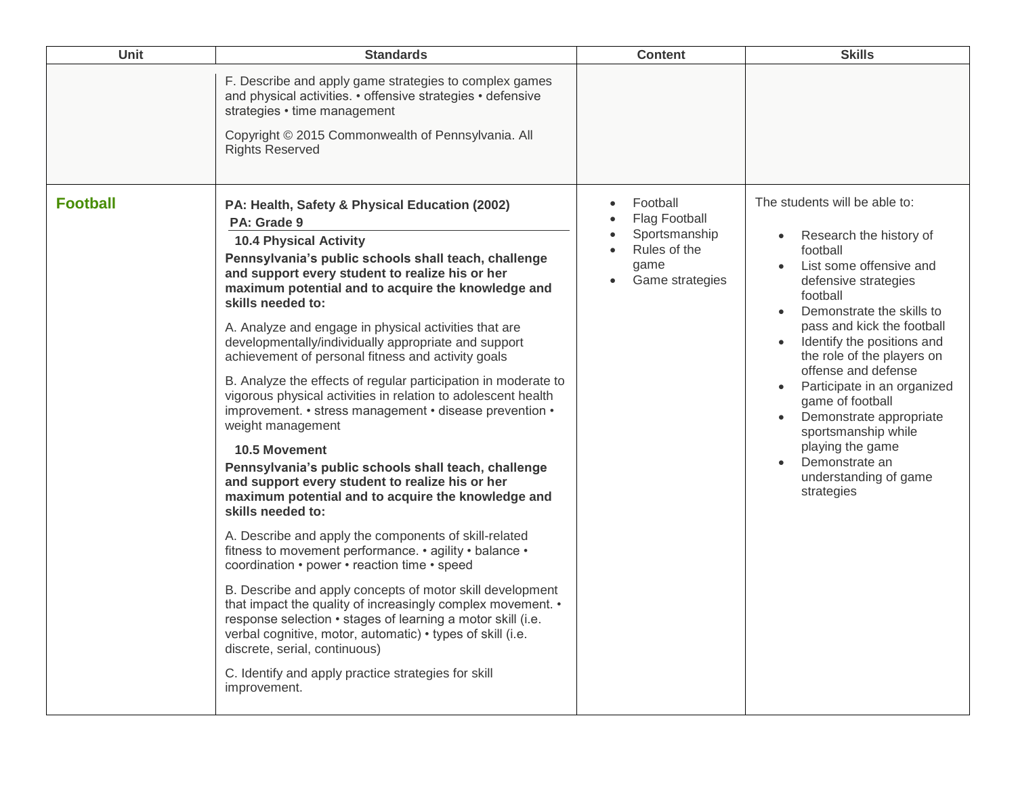| Unit            | <b>Standards</b>                                                                                                                                                                                                                                                                                                                                                                                                                                                                                                                                                                                                                                                                                                                                                                                                                                                                                                                                                                                                                                                                                                                                                                                                                                                                                                                                          | <b>Content</b>                                                                        | <b>Skills</b>                                                                                                                                                                                                                                                                                                                                                                                                                                                                    |
|-----------------|-----------------------------------------------------------------------------------------------------------------------------------------------------------------------------------------------------------------------------------------------------------------------------------------------------------------------------------------------------------------------------------------------------------------------------------------------------------------------------------------------------------------------------------------------------------------------------------------------------------------------------------------------------------------------------------------------------------------------------------------------------------------------------------------------------------------------------------------------------------------------------------------------------------------------------------------------------------------------------------------------------------------------------------------------------------------------------------------------------------------------------------------------------------------------------------------------------------------------------------------------------------------------------------------------------------------------------------------------------------|---------------------------------------------------------------------------------------|----------------------------------------------------------------------------------------------------------------------------------------------------------------------------------------------------------------------------------------------------------------------------------------------------------------------------------------------------------------------------------------------------------------------------------------------------------------------------------|
|                 | F. Describe and apply game strategies to complex games<br>and physical activities. • offensive strategies • defensive<br>strategies • time management                                                                                                                                                                                                                                                                                                                                                                                                                                                                                                                                                                                                                                                                                                                                                                                                                                                                                                                                                                                                                                                                                                                                                                                                     |                                                                                       |                                                                                                                                                                                                                                                                                                                                                                                                                                                                                  |
|                 | Copyright © 2015 Commonwealth of Pennsylvania. All<br><b>Rights Reserved</b>                                                                                                                                                                                                                                                                                                                                                                                                                                                                                                                                                                                                                                                                                                                                                                                                                                                                                                                                                                                                                                                                                                                                                                                                                                                                              |                                                                                       |                                                                                                                                                                                                                                                                                                                                                                                                                                                                                  |
| <b>Football</b> | PA: Health, Safety & Physical Education (2002)<br>PA: Grade 9<br><b>10.4 Physical Activity</b><br>Pennsylvania's public schools shall teach, challenge<br>and support every student to realize his or her<br>maximum potential and to acquire the knowledge and<br>skills needed to:<br>A. Analyze and engage in physical activities that are<br>developmentally/individually appropriate and support<br>achievement of personal fitness and activity goals<br>B. Analyze the effects of regular participation in moderate to<br>vigorous physical activities in relation to adolescent health<br>improvement. • stress management • disease prevention •<br>weight management<br><b>10.5 Movement</b><br>Pennsylvania's public schools shall teach, challenge<br>and support every student to realize his or her<br>maximum potential and to acquire the knowledge and<br>skills needed to:<br>A. Describe and apply the components of skill-related<br>fitness to movement performance. • agility • balance •<br>coordination • power • reaction time • speed<br>B. Describe and apply concepts of motor skill development<br>that impact the quality of increasingly complex movement. •<br>response selection • stages of learning a motor skill (i.e.<br>verbal cognitive, motor, automatic) • types of skill (i.e.<br>discrete, serial, continuous) | Football<br>Flag Football<br>Sportsmanship<br>Rules of the<br>game<br>Game strategies | The students will be able to:<br>Research the history of<br>football<br>List some offensive and<br>defensive strategies<br>football<br>Demonstrate the skills to<br>pass and kick the football<br>Identify the positions and<br>the role of the players on<br>offense and defense<br>Participate in an organized<br>$\bullet$<br>game of football<br>Demonstrate appropriate<br>sportsmanship while<br>playing the game<br>Demonstrate an<br>understanding of game<br>strategies |
|                 | C. Identify and apply practice strategies for skill<br>improvement.                                                                                                                                                                                                                                                                                                                                                                                                                                                                                                                                                                                                                                                                                                                                                                                                                                                                                                                                                                                                                                                                                                                                                                                                                                                                                       |                                                                                       |                                                                                                                                                                                                                                                                                                                                                                                                                                                                                  |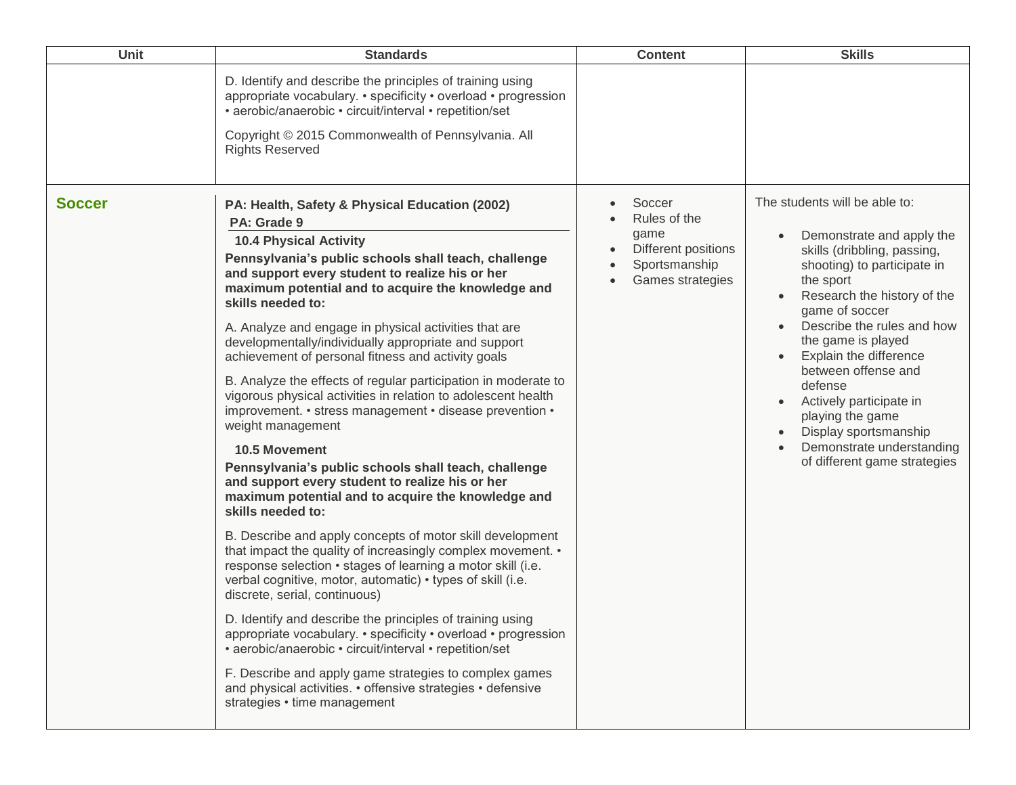| Unit          | <b>Standards</b>                                                                                                                                                                                                                                                                                                                                                                                                                                                                                                                                                                                                                                                                                                                                                                                                                                                                                                                                                                                                                                                                                                                                                                                                                                                                                                                                                                                                                                                                                                                          | <b>Content</b>                                                                             | <b>Skills</b>                                                                                                                                                                                                                                                                                                                                                                                                                               |
|---------------|-------------------------------------------------------------------------------------------------------------------------------------------------------------------------------------------------------------------------------------------------------------------------------------------------------------------------------------------------------------------------------------------------------------------------------------------------------------------------------------------------------------------------------------------------------------------------------------------------------------------------------------------------------------------------------------------------------------------------------------------------------------------------------------------------------------------------------------------------------------------------------------------------------------------------------------------------------------------------------------------------------------------------------------------------------------------------------------------------------------------------------------------------------------------------------------------------------------------------------------------------------------------------------------------------------------------------------------------------------------------------------------------------------------------------------------------------------------------------------------------------------------------------------------------|--------------------------------------------------------------------------------------------|---------------------------------------------------------------------------------------------------------------------------------------------------------------------------------------------------------------------------------------------------------------------------------------------------------------------------------------------------------------------------------------------------------------------------------------------|
|               | D. Identify and describe the principles of training using<br>appropriate vocabulary. • specificity • overload • progression<br>• aerobic/anaerobic • circuit/interval • repetition/set<br>Copyright © 2015 Commonwealth of Pennsylvania. All<br><b>Rights Reserved</b>                                                                                                                                                                                                                                                                                                                                                                                                                                                                                                                                                                                                                                                                                                                                                                                                                                                                                                                                                                                                                                                                                                                                                                                                                                                                    |                                                                                            |                                                                                                                                                                                                                                                                                                                                                                                                                                             |
| <b>Soccer</b> | PA: Health, Safety & Physical Education (2002)<br>PA: Grade 9<br><b>10.4 Physical Activity</b><br>Pennsylvania's public schools shall teach, challenge<br>and support every student to realize his or her<br>maximum potential and to acquire the knowledge and<br>skills needed to:<br>A. Analyze and engage in physical activities that are<br>developmentally/individually appropriate and support<br>achievement of personal fitness and activity goals<br>B. Analyze the effects of regular participation in moderate to<br>vigorous physical activities in relation to adolescent health<br>improvement. • stress management • disease prevention •<br>weight management<br><b>10.5 Movement</b><br>Pennsylvania's public schools shall teach, challenge<br>and support every student to realize his or her<br>maximum potential and to acquire the knowledge and<br>skills needed to:<br>B. Describe and apply concepts of motor skill development<br>that impact the quality of increasingly complex movement. •<br>response selection • stages of learning a motor skill (i.e.<br>verbal cognitive, motor, automatic) • types of skill (i.e.<br>discrete, serial, continuous)<br>D. Identify and describe the principles of training using<br>appropriate vocabulary. • specificity • overload • progression<br>• aerobic/anaerobic • circuit/interval • repetition/set<br>F. Describe and apply game strategies to complex games<br>and physical activities. • offensive strategies • defensive<br>strategies • time management | Soccer<br>Rules of the<br>game<br>Different positions<br>Sportsmanship<br>Games strategies | The students will be able to:<br>Demonstrate and apply the<br>skills (dribbling, passing,<br>shooting) to participate in<br>the sport<br>Research the history of the<br>game of soccer<br>Describe the rules and how<br>the game is played<br>Explain the difference<br>between offense and<br>defense<br>Actively participate in<br>playing the game<br>Display sportsmanship<br>Demonstrate understanding<br>of different game strategies |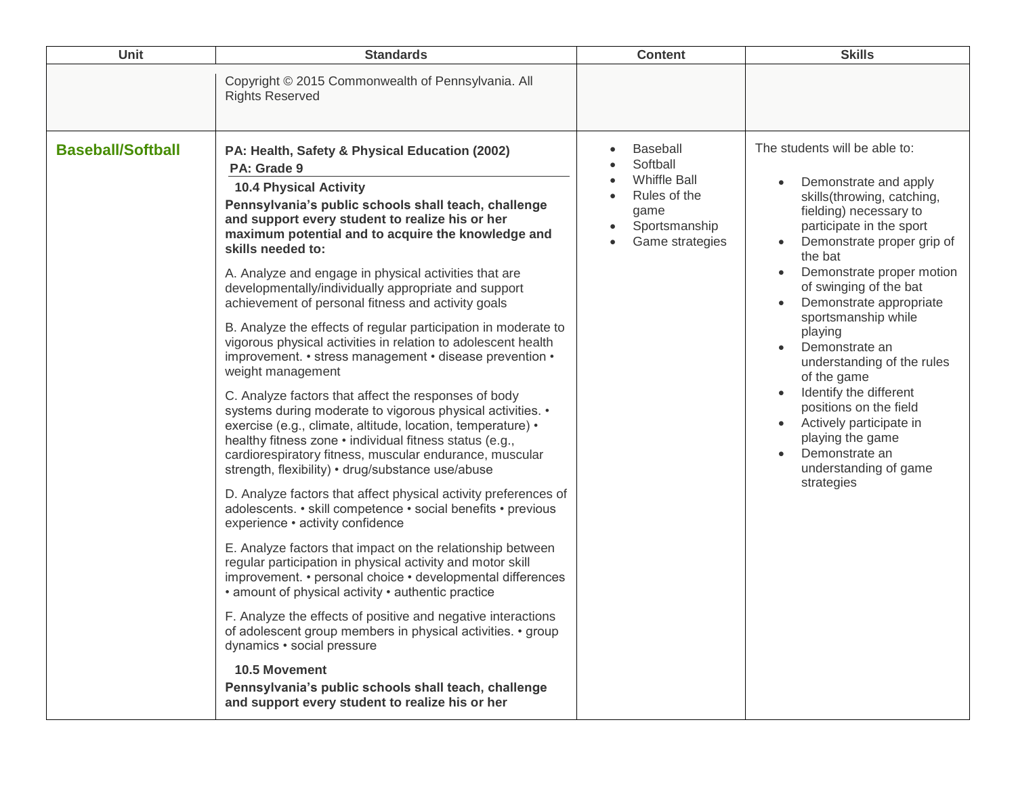| Unit                     | <b>Standards</b>                                                                                                                                                                                                                                                                                                                                                                                                                                                                                                                                                                                                                                                                                                                                                                                                                                                                                                                                                                                                                                                                                                                                                                                                                                                                                                                                                                                                                                                                                                                                                                                                                                                                                                                                               | <b>Content</b>                                                                                                 | <b>Skills</b>                                                                                                                                                                                                                                                                                                                                                                                                                                                                                                                      |
|--------------------------|----------------------------------------------------------------------------------------------------------------------------------------------------------------------------------------------------------------------------------------------------------------------------------------------------------------------------------------------------------------------------------------------------------------------------------------------------------------------------------------------------------------------------------------------------------------------------------------------------------------------------------------------------------------------------------------------------------------------------------------------------------------------------------------------------------------------------------------------------------------------------------------------------------------------------------------------------------------------------------------------------------------------------------------------------------------------------------------------------------------------------------------------------------------------------------------------------------------------------------------------------------------------------------------------------------------------------------------------------------------------------------------------------------------------------------------------------------------------------------------------------------------------------------------------------------------------------------------------------------------------------------------------------------------------------------------------------------------------------------------------------------------|----------------------------------------------------------------------------------------------------------------|------------------------------------------------------------------------------------------------------------------------------------------------------------------------------------------------------------------------------------------------------------------------------------------------------------------------------------------------------------------------------------------------------------------------------------------------------------------------------------------------------------------------------------|
|                          | Copyright © 2015 Commonwealth of Pennsylvania. All<br><b>Rights Reserved</b>                                                                                                                                                                                                                                                                                                                                                                                                                                                                                                                                                                                                                                                                                                                                                                                                                                                                                                                                                                                                                                                                                                                                                                                                                                                                                                                                                                                                                                                                                                                                                                                                                                                                                   |                                                                                                                |                                                                                                                                                                                                                                                                                                                                                                                                                                                                                                                                    |
| <b>Baseball/Softball</b> | PA: Health, Safety & Physical Education (2002)<br>PA: Grade 9<br><b>10.4 Physical Activity</b><br>Pennsylvania's public schools shall teach, challenge<br>and support every student to realize his or her<br>maximum potential and to acquire the knowledge and<br>skills needed to:<br>A. Analyze and engage in physical activities that are<br>developmentally/individually appropriate and support<br>achievement of personal fitness and activity goals<br>B. Analyze the effects of regular participation in moderate to<br>vigorous physical activities in relation to adolescent health<br>improvement. • stress management • disease prevention •<br>weight management<br>C. Analyze factors that affect the responses of body<br>systems during moderate to vigorous physical activities. •<br>exercise (e.g., climate, altitude, location, temperature) •<br>healthy fitness zone · individual fitness status (e.g.,<br>cardiorespiratory fitness, muscular endurance, muscular<br>strength, flexibility) • drug/substance use/abuse<br>D. Analyze factors that affect physical activity preferences of<br>adolescents. • skill competence • social benefits • previous<br>experience · activity confidence<br>E. Analyze factors that impact on the relationship between<br>regular participation in physical activity and motor skill<br>improvement. • personal choice • developmental differences<br>• amount of physical activity • authentic practice<br>F. Analyze the effects of positive and negative interactions<br>of adolescent group members in physical activities. • group<br>dynamics • social pressure<br>10.5 Movement<br>Pennsylvania's public schools shall teach, challenge<br>and support every student to realize his or her | <b>Baseball</b><br>Softball<br><b>Whiffle Ball</b><br>Rules of the<br>game<br>Sportsmanship<br>Game strategies | The students will be able to:<br>Demonstrate and apply<br>skills(throwing, catching,<br>fielding) necessary to<br>participate in the sport<br>Demonstrate proper grip of<br>the bat<br>Demonstrate proper motion<br>of swinging of the bat<br>Demonstrate appropriate<br>sportsmanship while<br>playing<br>Demonstrate an<br>understanding of the rules<br>of the game<br>Identify the different<br>positions on the field<br>Actively participate in<br>playing the game<br>Demonstrate an<br>understanding of game<br>strategies |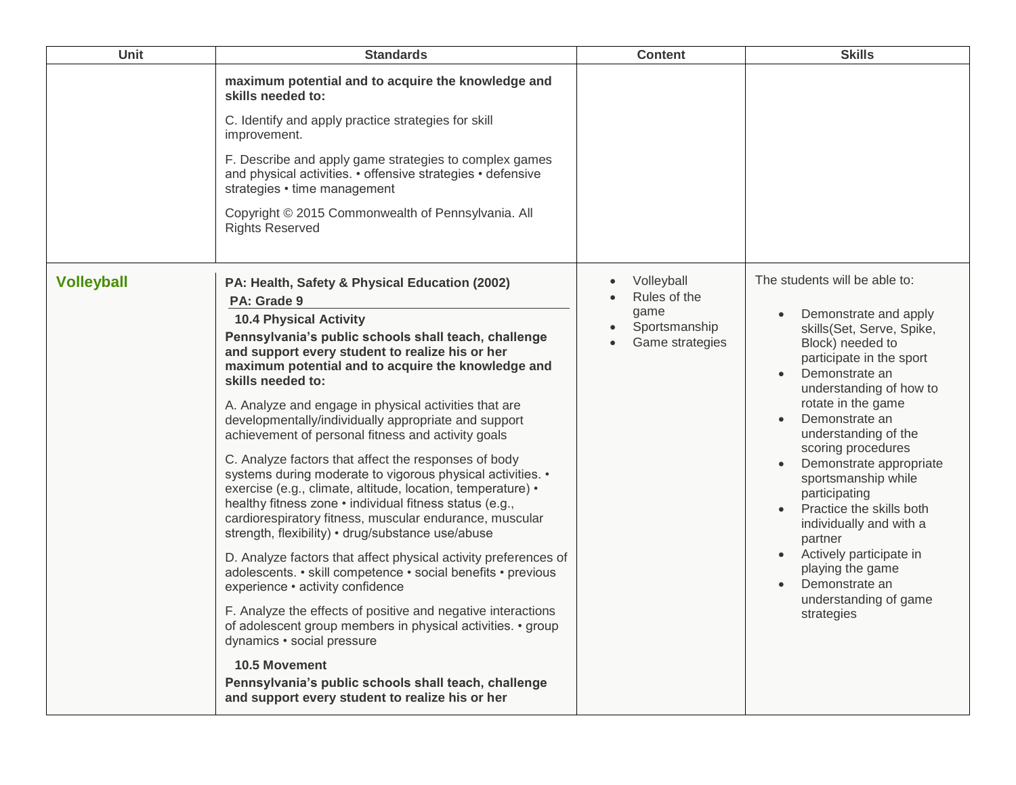| Unit              | <b>Standards</b>                                                                                                                                                                                                                                                                                                                                                                                                                                                                                                                                                                                                                                                                                                                                                                                                                                                                                                                                                                                                                                                                                                                                                                                                                                                                                   | <b>Content</b>                                                         | <b>Skills</b>                                                                                                                                                                                                                                                                                                                                                                                                                                                                                                       |
|-------------------|----------------------------------------------------------------------------------------------------------------------------------------------------------------------------------------------------------------------------------------------------------------------------------------------------------------------------------------------------------------------------------------------------------------------------------------------------------------------------------------------------------------------------------------------------------------------------------------------------------------------------------------------------------------------------------------------------------------------------------------------------------------------------------------------------------------------------------------------------------------------------------------------------------------------------------------------------------------------------------------------------------------------------------------------------------------------------------------------------------------------------------------------------------------------------------------------------------------------------------------------------------------------------------------------------|------------------------------------------------------------------------|---------------------------------------------------------------------------------------------------------------------------------------------------------------------------------------------------------------------------------------------------------------------------------------------------------------------------------------------------------------------------------------------------------------------------------------------------------------------------------------------------------------------|
|                   | maximum potential and to acquire the knowledge and<br>skills needed to:<br>C. Identify and apply practice strategies for skill<br>improvement.<br>F. Describe and apply game strategies to complex games<br>and physical activities. • offensive strategies • defensive<br>strategies • time management<br>Copyright © 2015 Commonwealth of Pennsylvania. All<br><b>Rights Reserved</b>                                                                                                                                                                                                                                                                                                                                                                                                                                                                                                                                                                                                                                                                                                                                                                                                                                                                                                            |                                                                        |                                                                                                                                                                                                                                                                                                                                                                                                                                                                                                                     |
| <b>Volleyball</b> | PA: Health, Safety & Physical Education (2002)<br>PA: Grade 9<br><b>10.4 Physical Activity</b><br>Pennsylvania's public schools shall teach, challenge<br>and support every student to realize his or her<br>maximum potential and to acquire the knowledge and<br>skills needed to:<br>A. Analyze and engage in physical activities that are<br>developmentally/individually appropriate and support<br>achievement of personal fitness and activity goals<br>C. Analyze factors that affect the responses of body<br>systems during moderate to vigorous physical activities. •<br>exercise (e.g., climate, altitude, location, temperature) •<br>healthy fitness zone · individual fitness status (e.g.,<br>cardiorespiratory fitness, muscular endurance, muscular<br>strength, flexibility) • drug/substance use/abuse<br>D. Analyze factors that affect physical activity preferences of<br>adolescents. • skill competence • social benefits • previous<br>experience · activity confidence<br>F. Analyze the effects of positive and negative interactions<br>of adolescent group members in physical activities. • group<br>dynamics · social pressure<br><b>10.5 Movement</b><br>Pennsylvania's public schools shall teach, challenge<br>and support every student to realize his or her | Volleyball<br>Rules of the<br>game<br>Sportsmanship<br>Game strategies | The students will be able to:<br>Demonstrate and apply<br>skills(Set, Serve, Spike,<br>Block) needed to<br>participate in the sport<br>Demonstrate an<br>understanding of how to<br>rotate in the game<br>Demonstrate an<br>understanding of the<br>scoring procedures<br>Demonstrate appropriate<br>sportsmanship while<br>participating<br>Practice the skills both<br>individually and with a<br>partner<br>Actively participate in<br>playing the game<br>Demonstrate an<br>understanding of game<br>strategies |